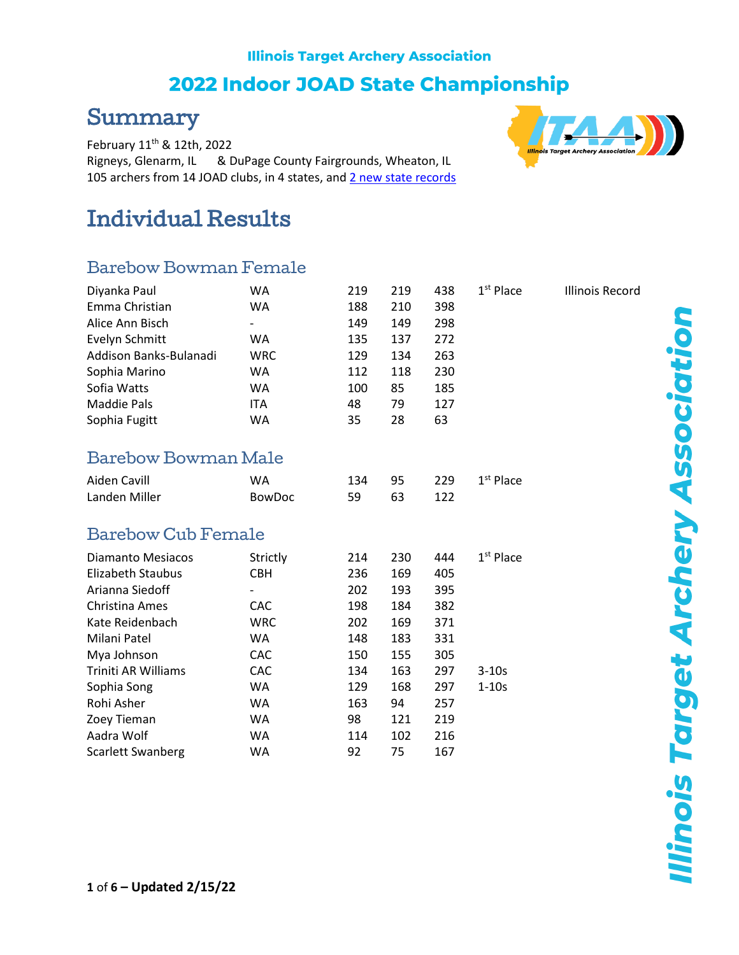#### **Illinois Target Archery Association**

### **2022 Indoor JOAD State Championship**

### Summary

February 11th & 12th, 2022 Rigneys, Glenarm, IL & DuPage County Fairgrounds, Wheaton, IL 105 archers from 14 JOAD clubs, in 4 states, and 2 [new state records](http://illinoistargetarchery.org/itaa-state-records/?format=All&equip=All&age=All&gender=All&event=ITAA+JOAD+State+Indoor&eventYear=2022&limit=-1)

# Individual Results

#### Barebow Bowman Female

| Diyanka Paul           | WA                       | 219 | 219 | 438 | $1st$ Place | Illinois Record |
|------------------------|--------------------------|-----|-----|-----|-------------|-----------------|
| Emma Christian         | WA                       | 188 | 210 | 398 |             |                 |
| Alice Ann Bisch        | $\overline{\phantom{a}}$ | 149 | 149 | 298 |             |                 |
| Evelyn Schmitt         | WA                       | 135 | 137 | 272 |             |                 |
| Addison Banks-Bulanadi | WRC.                     | 129 | 134 | 263 |             |                 |
| Sophia Marino          | WA                       | 112 | 118 | 230 |             |                 |
| Sofia Watts            | WA                       | 100 | 85  | 185 |             |                 |
| Maddie Pals            | <b>ITA</b>               | 48  | 79  | 127 |             |                 |
| Sophia Fugitt          | WA                       | 35  | 28  | 63  |             |                 |
|                        |                          |     |     |     |             |                 |

#### Barebow Bowman Male

| Aiden Cavill  | WA            |       |      | 134 95 229 1st Place |
|---------------|---------------|-------|------|----------------------|
| Landen Miller | <b>BowDoc</b> | 59 63 | -122 |                      |

#### Barebow Cub Female

| Strictly   | 214 | 230 | 444 | $1st$ Place |
|------------|-----|-----|-----|-------------|
| <b>CBH</b> | 236 | 169 | 405 |             |
| -          | 202 | 193 | 395 |             |
| <b>CAC</b> | 198 | 184 | 382 |             |
| <b>WRC</b> | 202 | 169 | 371 |             |
| <b>WA</b>  | 148 | 183 | 331 |             |
| <b>CAC</b> | 150 | 155 | 305 |             |
| <b>CAC</b> | 134 | 163 | 297 | $3 - 10s$   |
| WA.        | 129 | 168 | 297 | $1-10s$     |
| WA.        | 163 | 94  | 257 |             |
| <b>WA</b>  | 98  | 121 | 219 |             |
| <b>WA</b>  | 114 | 102 | 216 |             |
| WA         | 92  | 75  | 167 |             |
|            |     |     |     |             |



**Ilinois Target Archery Association**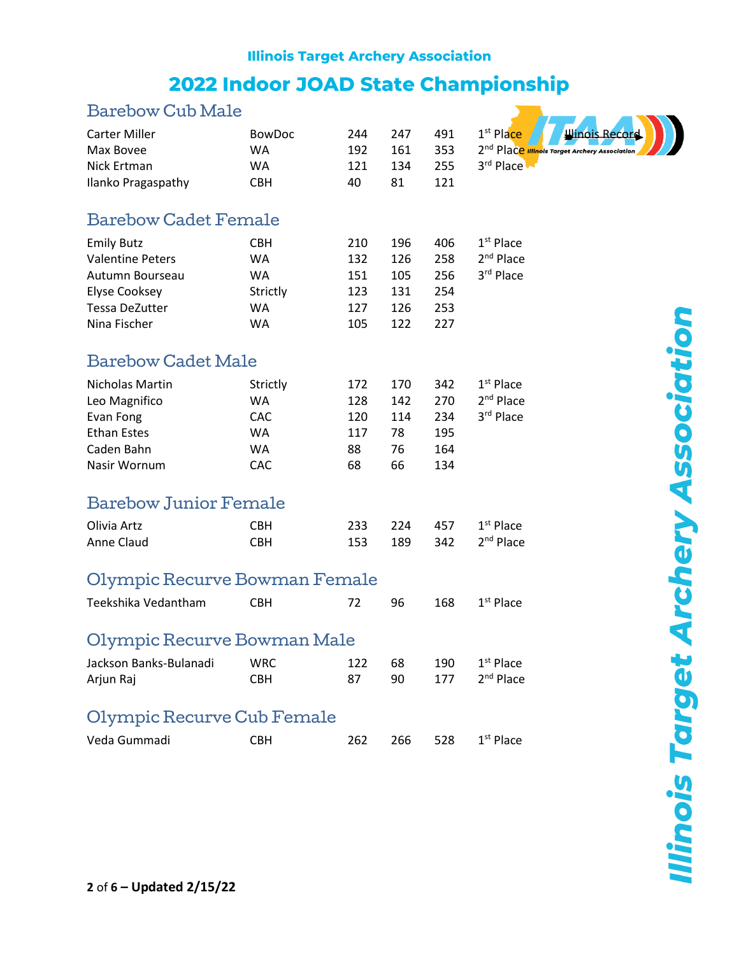## **Illinois Target Archery Association** 2022 Indoor JOAD State Championship

| Barebow Cub Male                                                                                                   |                                                               |                                        |                                        |                                        |                                                                                                               |
|--------------------------------------------------------------------------------------------------------------------|---------------------------------------------------------------|----------------------------------------|----------------------------------------|----------------------------------------|---------------------------------------------------------------------------------------------------------------|
| <b>Carter Miller</b><br>Max Bovee<br>Nick Ertman<br>Ilanko Pragaspathy                                             | <b>BowDoc</b><br><b>WA</b><br>WA<br><b>CBH</b>                | 244<br>192<br>121<br>40                | 247<br>161<br>134<br>81                | 491<br>353<br>255<br>121               | 1 <sup>st</sup> Place<br>inois Reco<br>2 <sup>nd</sup> Place Illinois Target Archery Association<br>3rd Place |
| <b>Barebow Cadet Female</b>                                                                                        |                                                               |                                        |                                        |                                        |                                                                                                               |
| <b>Emily Butz</b><br><b>Valentine Peters</b><br>Autumn Bourseau<br>Elyse Cooksey<br>Tessa DeZutter<br>Nina Fischer | <b>CBH</b><br>WA<br><b>WA</b><br>Strictly<br>WA<br>WA         | 210<br>132<br>151<br>123<br>127<br>105 | 196<br>126<br>105<br>131<br>126<br>122 | 406<br>258<br>256<br>254<br>253<br>227 | $1st$ Place<br>2 <sup>nd</sup> Place<br>3rd Place                                                             |
| <b>Barebow Cadet Male</b>                                                                                          |                                                               |                                        |                                        |                                        |                                                                                                               |
| Nicholas Martin<br>Leo Magnifico<br>Evan Fong<br><b>Ethan Estes</b><br>Caden Bahn<br>Nasir Wornum                  | Strictly<br><b>WA</b><br><b>CAC</b><br>WA<br><b>WA</b><br>CAC | 172<br>128<br>120<br>117<br>88<br>68   | 170<br>142<br>114<br>78<br>76<br>66    | 342<br>270<br>234<br>195<br>164<br>134 | $1st$ Place<br>2 <sup>nd</sup> Place<br>3rd Place                                                             |
| <b>Barebow Junior Female</b>                                                                                       |                                                               |                                        |                                        |                                        |                                                                                                               |
| Olivia Artz<br>Anne Claud                                                                                          | <b>CBH</b><br><b>CBH</b>                                      | 233<br>153                             | 224<br>189                             | 457<br>342                             | $1st$ Place<br>2 <sup>nd</sup> Place                                                                          |
| Olympic Recurve Bowman Female                                                                                      |                                                               |                                        |                                        |                                        |                                                                                                               |
| Teekshika Vedantham                                                                                                | <b>CBH</b>                                                    | 72                                     | 96                                     | 168                                    | $1st$ Place                                                                                                   |
| Olympic Recurve Bowman Male                                                                                        |                                                               |                                        |                                        |                                        |                                                                                                               |
| Jackson Banks-Bulanadi<br>Arjun Raj                                                                                | <b>WRC</b><br><b>CBH</b>                                      | 122<br>87                              | 68<br>90                               | 190<br>177                             | 1 <sup>st</sup> Place<br>2 <sup>nd</sup> Place                                                                |
| Olympic Recurve Cub Female                                                                                         |                                                               |                                        |                                        |                                        |                                                                                                               |
| Veda Gummadi                                                                                                       | <b>CBH</b>                                                    | 262                                    | 266                                    | 528                                    | $1st$ Place                                                                                                   |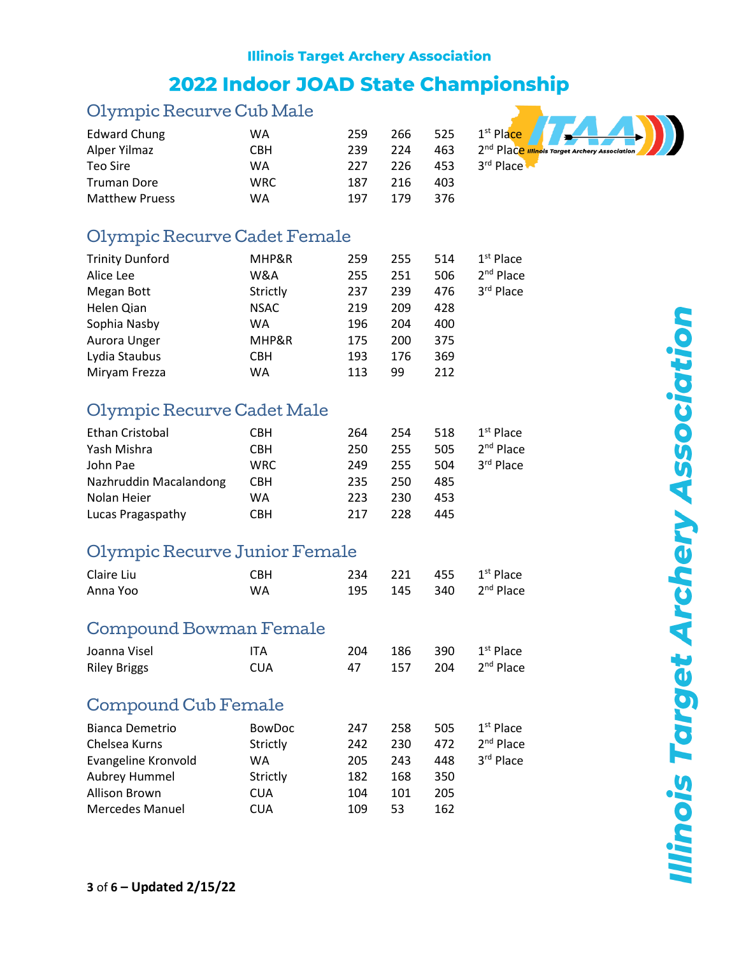## **Illinois Target Archery Association**

## 2022 Indoor JOAD State Championship

#### Olympic Recurve Cub Male

| Edward Chung          | WA         | 259 | 266 | 525 | 1 <sup>st</sup> Place |
|-----------------------|------------|-----|-----|-----|-----------------------|
| Alper Yilmaz          | <b>CBH</b> | 239 | 224 | 463 | 2 <sup>nd</sup> Place |
| Teo Sire              | WA         | 227 | 226 | 453 | 3rd Place             |
| <b>Truman Dore</b>    | <b>WRC</b> | 187 | 216 | 403 |                       |
| <b>Matthew Pruess</b> | WA         | 197 | 179 | 376 |                       |



| <b>Trinity Dunford</b> | MHP&R       | 259 | 255 | 514 | $1st$ Place |
|------------------------|-------------|-----|-----|-----|-------------|
| Alice Lee              | W&A         | 255 | 251 | 506 | $2nd$ Place |
| Megan Bott             | Strictly    | 237 | 239 | 476 | 3rd Place   |
| Helen Qian             | <b>NSAC</b> | 219 | 209 | 428 |             |
| Sophia Nasby           | WA          | 196 | 204 | 400 |             |
| Aurora Unger           | MHP&R       | 175 | 200 | 375 |             |
| Lydia Staubus          | <b>CBH</b>  | 193 | 176 | 369 |             |
| Miryam Frezza          | WA          | 113 | 99  | 212 |             |

#### Olympic Recurve Cadet Male

| <b>Ethan Cristobal</b> | CBH        | 264 | 254 | 518 | $1st$ Place |
|------------------------|------------|-----|-----|-----|-------------|
| Yash Mishra            | <b>CBH</b> | 250 | 255 | 505 | $2nd$ Place |
| John Pae               | <b>WRC</b> | 249 | 255 | 504 | 3rd Place   |
| Nazhruddin Macalandong | <b>CBH</b> | 235 | 250 | 485 |             |
| Nolan Heier            | WA         | 223 | 230 | 453 |             |
| Lucas Pragaspathy      | CBH        | 217 | 228 | 445 |             |

#### Olympic Recurve Junior Female

| Claire Liu | <b>CBH</b> |  | 234 221 455 1st Place             |
|------------|------------|--|-----------------------------------|
| Anna Yoo   | WA.        |  | 195 145 340 2 <sup>nd</sup> Place |

#### Compound Bowman Female

| Joanna Visel        | ITA        |    |  | 204 186 390 $1^{st}$ Place |
|---------------------|------------|----|--|----------------------------|
| <b>Riley Briggs</b> | <b>CUA</b> | 47 |  | 157 204 $2^{nd}$ Place     |

#### Compound Cub Female

| Bianca Demetrio        | <b>BowDoc</b> | 247 | 258 | 505 | $1st$ Place |
|------------------------|---------------|-----|-----|-----|-------------|
| Chelsea Kurns          | Strictly      | 242 | 230 | 472 | $2nd$ Place |
| Evangeline Kronvold    | WA.           | 205 | 243 | 448 | 3rd Place   |
| Aubrey Hummel          | Strictly      | 182 | 168 | 350 |             |
| Allison Brown          | CUA           | 104 | 101 | 205 |             |
| <b>Mercedes Manuel</b> | <b>CUA</b>    | 109 | 53  | 162 |             |

**Illinois Target Archery Association**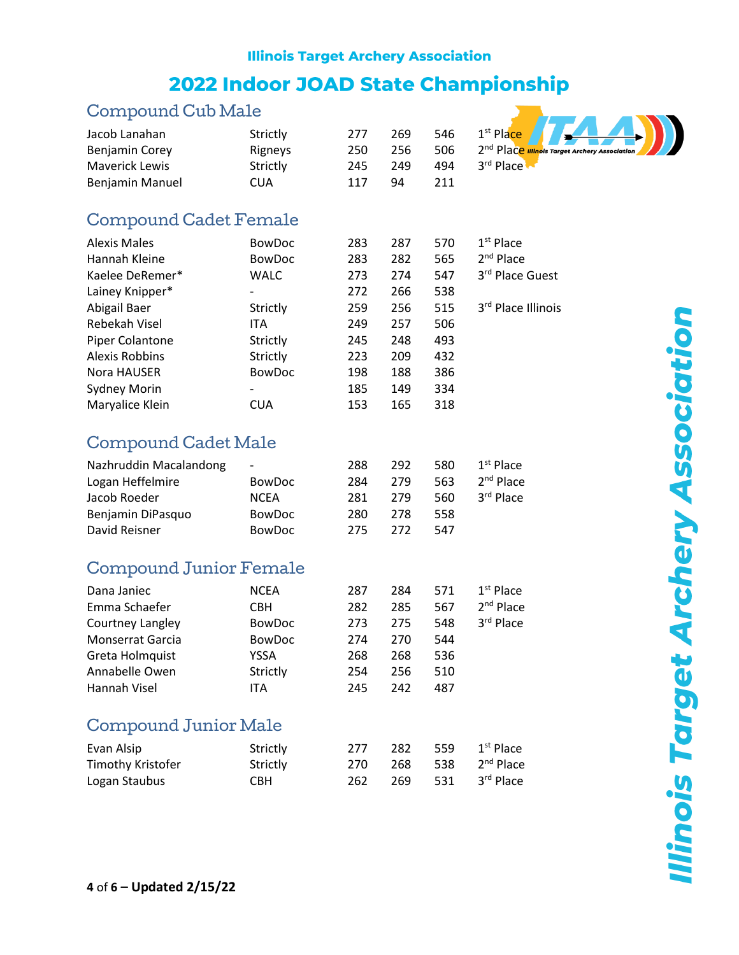### **Illinois Target Archery Association** 2022 Indoor JOAD State Championship

#### Compound Cub Male



#### Compound Cadet Female

| <b>Alexis Males</b>    | <b>BowDoc</b>            | 283 | 287 | 570 | $1st$ Place        |
|------------------------|--------------------------|-----|-----|-----|--------------------|
| Hannah Kleine          | <b>BowDoc</b>            | 283 | 282 | 565 | $2nd$ Place        |
| Kaelee DeRemer*        | WALC                     | 273 | 274 | 547 | 3rd Place Guest    |
| Lainey Knipper*        | -                        | 272 | 266 | 538 |                    |
| Abigail Baer           | Strictly                 | 259 | 256 | 515 | 3rd Place Illinois |
| Rebekah Visel          | <b>ITA</b>               | 249 | 257 | 506 |                    |
| <b>Piper Colantone</b> | Strictly                 | 245 | 248 | 493 |                    |
| Alexis Robbins         | Strictly                 | 223 | 209 | 432 |                    |
| Nora HAUSER            | <b>BowDoc</b>            | 198 | 188 | 386 |                    |
| <b>Sydney Morin</b>    | $\overline{\phantom{a}}$ | 185 | 149 | 334 |                    |
| Maryalice Klein        | <b>CUA</b>               | 153 | 165 | 318 |                    |

### Compound Cadet Male

| Nazhruddin Macalandong | $\overline{\phantom{a}}$ | 288  | 292 | 580 | $1st$ Place |
|------------------------|--------------------------|------|-----|-----|-------------|
| Logan Heffelmire       | <b>BowDoc</b>            | 284  | 279 | 563 | $2nd$ Place |
| Jacob Roeder           | <b>NCEA</b>              | 281  | 279 | 560 | 3rd Place   |
| Benjamin DiPasquo      | <b>BowDoc</b>            | 280. | 278 | 558 |             |
| David Reisner          | <b>BowDoc</b>            | 275  | 272 | 547 |             |

### Compound Junior Female

| Dana Janiec      | <b>NCEA</b>   | 287 | 284 | 571 | $1st$ Place |
|------------------|---------------|-----|-----|-----|-------------|
| Emma Schaefer    | CBH.          | 282 | 285 | 567 | $2nd$ Place |
| Courtney Langley | <b>BowDoc</b> | 273 | 275 | 548 | 3rd Place   |
| Monserrat Garcia | <b>BowDoc</b> | 274 | 270 | 544 |             |
| Greta Holmquist  | YSSA          | 268 | 268 | 536 |             |
| Annabelle Owen   | Strictly      | 254 | 256 | 510 |             |
| Hannah Visel     | ITA           | 245 | 242 | 487 |             |

#### Compound Junior Male

| Evan Alsip        | Strictly | 277  | 282 | 559   | 1 <sup>st</sup> Place |
|-------------------|----------|------|-----|-------|-----------------------|
| Timothy Kristofer | Strictly | 270. | 268 | - 538 | 2 <sup>nd</sup> Place |
| Logan Staubus     | CBH.     | 262  | 269 | - 531 | 3 <sup>rd</sup> Place |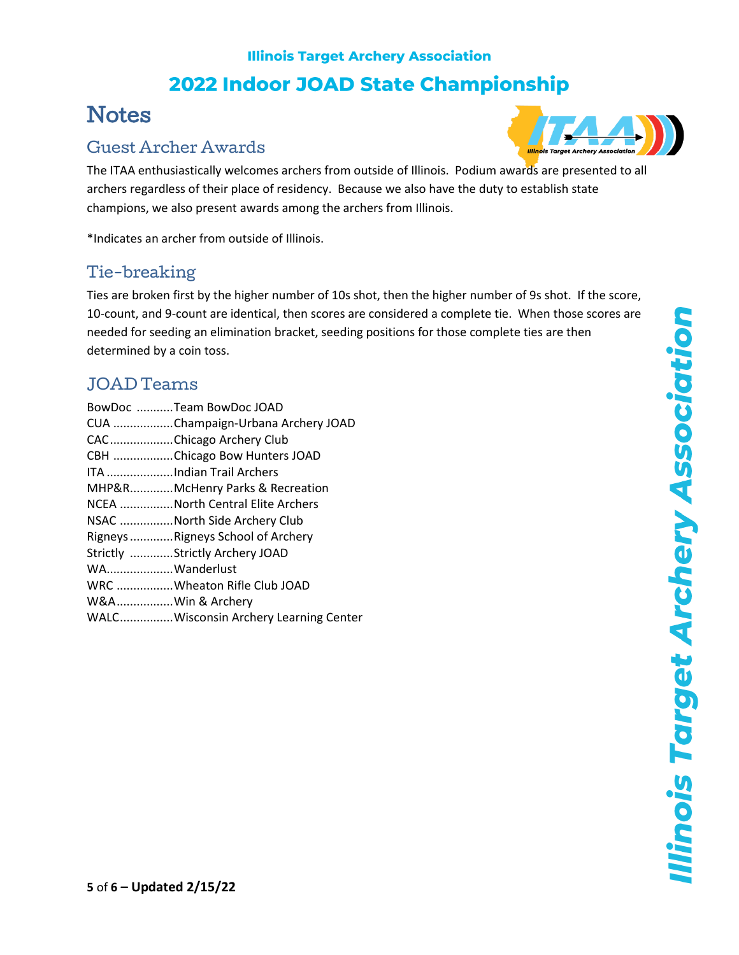## **Illinois Target Archery Association 2022 Indoor JOAD State Championship**

# **Notes**

### Guest Archer Awards



The ITAA enthusiastically welcomes archers from outside of Illinois. Podium awards are presented to all archers regardless of their place of residency. Because we also have the duty to establish state champions, we also present awards among the archers from Illinois.

\*Indicates an archer from outside of Illinois.

#### Tie-breaking

Ties are broken first by the higher number of 10s shot, then the higher number of 9s shot. If the score, 10-count, and 9-count are identical, then scores are considered a complete tie. When those scores are needed for seeding an elimination bracket, seeding positions for those complete ties are then determined by a coin toss.

#### JOAD Teams

|                  | BowDoc Team BowDoc JOAD               |
|------------------|---------------------------------------|
|                  | CUA Champaign-Urbana Archery JOAD     |
|                  | CACChicago Archery Club               |
|                  | CBH Chicago Bow Hunters JOAD          |
|                  | ITA Indian Trail Archers              |
|                  | MHP&RMcHenry Parks & Recreation       |
|                  | NCEA North Central Elite Archers      |
|                  | NSAC North Side Archery Club          |
|                  | Rigneys Rigneys School of Archery     |
|                  | Strictly Strictly Archery JOAD        |
| WAWanderlust     |                                       |
|                  | WRC Wheaton Rifle Club JOAD           |
| W&AWin & Archery |                                       |
|                  | WALCWisconsin Archery Learning Center |
|                  |                                       |